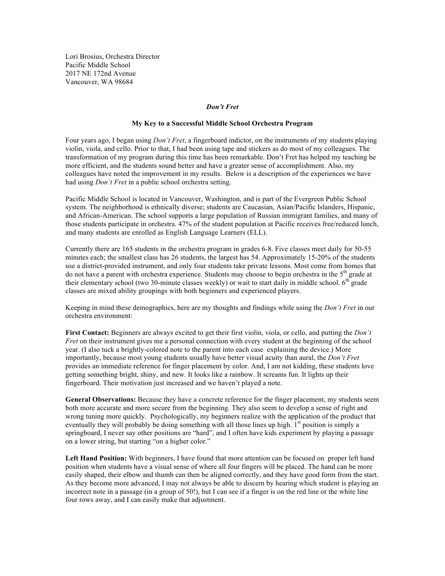Lori Brosius, Orchestra Director Pacific Middle School 2017 NE 172nd Avenue Vancouver, WA 98684

## *Don't Fret*

## **My Key to a Successful Middle School Orchestra Program**

Four years ago, I began using *Don't Fret*, a fingerboard indictor, on the instruments of my students playing violin, viola, and cello. Prior to that, I had been using tape and stickers as do most of my colleagues. The transformation of my program during this time has been remarkable. Don't Fret has helped my teaching be more efficient, and the students sound better and have a greater sense of accomplishment. Also, my colleagues have noted the improvement in my results. Below is a description of the experiences we have had using *Don't Fret* in a public school orchestra setting.

Pacific Middle School is located in Vancouver, Washington, and is part of the Evergreen Public School system. The neighborhood is ethnically diverse; students are Caucasian, Asian/Pacific Islanders, Hispanic, and African-American. The school supports a large population of Russian immigrant families, and many of those students participate in orchestra. 47% of the student population at Pacific receives free/reduced lunch, and many students are enrolled as English Language Learners (ELL).

Currently there are 165 students in the orchestra program in grades 6-8. Five classes meet daily for 50-55 minutes each; the smallest class has 26 students, the largest has 54. Approximately 15-20% of the students use a district-provided instrument, and only four students take private lessons. Most come from homes that do not have a parent with orchestra experience. Students may choose to begin orchestra in the  $5<sup>th</sup>$  grade at their elementary school (two 30-minute classes weekly) or wait to start daily in middle school.  $6<sup>th</sup>$  grade classes are mixed ability groupings with both beginners and experienced players.

Keeping in mind these demographics, here are my thoughts and findings while using the *Don't Fret* in our orchestra environment:

**First Contact:** Beginners are always excited to get their first violin, viola, or cello, and putting the *Don't Fret* on their instrument gives me a personal connection with every student at the beginning of the school year. (I also tuck a brightly-colored note to the parent into each case explaining the device.) More importantly, because most young students usually have better visual acuity than aural, the *Don't Fret* provides an immediate reference for finger placement by color. And, I am not kidding, these students love getting something bright, shiny, and new. It looks like a rainbow. It screams fun. It lights up their fingerboard. Their motivation just increased and we haven't played a note.

**General Observations:** Because they have a concrete reference for the finger placement, my students seem both more accurate and more secure from the beginning. They also seem to develop a sense of right and wrong tuning more quickly. Psychologically, my beginners realize with the application of the product that eventually they will probably be doing something with all those lines up high.  $1<sup>st</sup>$  position is simply a springboard, I never say other positions are "hard", and I often have kids experiment by playing a passage on a lower string, but starting "on a higher color."

**Left Hand Position:** With beginners, I have found that more attention can be focused on proper left hand position when students have a visual sense of where all four fingers will be placed. The hand can be more easily shaped, their elbow and thumb can then be aligned correctly, and they have good form from the start. As they become more advanced, I may not always be able to discern by hearing which student is playing an incorrect note in a passage (in a group of 50!), but I can see if a finger is on the red line or the white line four rows away, and I can easily make that adjustment.